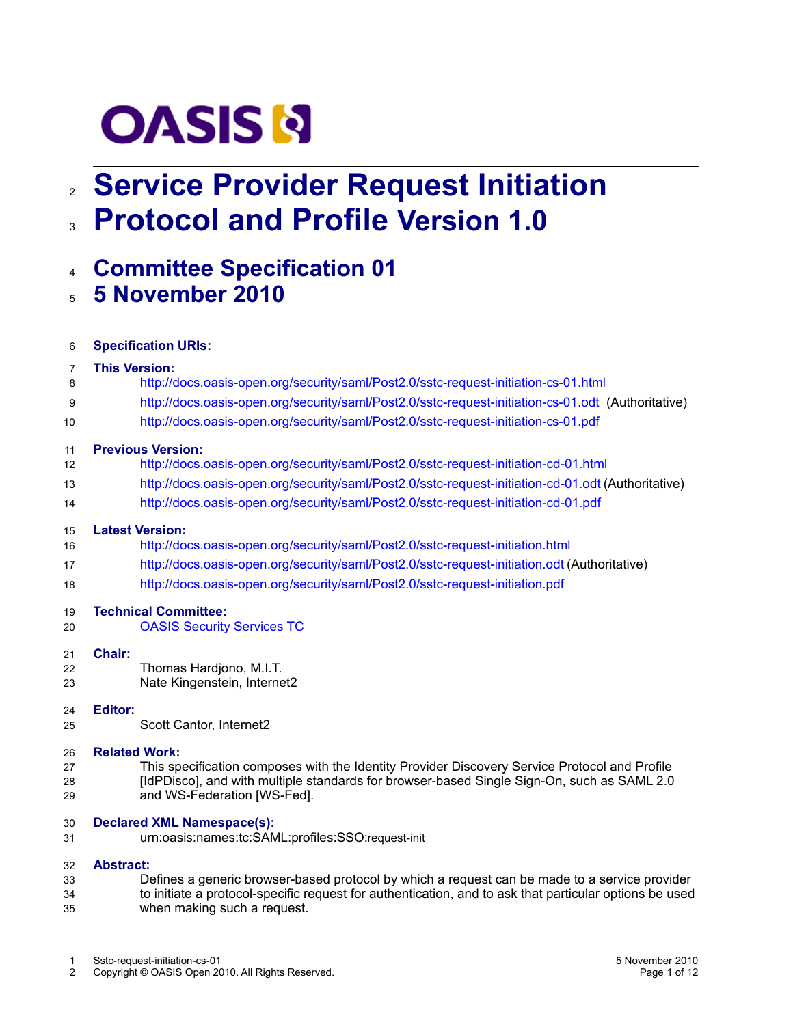# **OASIS N**

# **Service Provider Request Initiation** 2 **Protocol and Profile Version 1.0** 3

# **Committee Specification 01** 4

**5 November 2010** 5

| 6                    | <b>Specification URIs:</b>                                                                                                                                                                                                                         |  |  |  |
|----------------------|----------------------------------------------------------------------------------------------------------------------------------------------------------------------------------------------------------------------------------------------------|--|--|--|
| 7                    | <b>This Version:</b>                                                                                                                                                                                                                               |  |  |  |
| 8                    | http://docs.oasis-open.org/security/saml/Post2.0/sstc-request-initiation-cs-01.html                                                                                                                                                                |  |  |  |
| 9                    | http://docs.oasis-open.org/security/saml/Post2.0/sstc-request-initiation-cs-01.odt (Authoritative)                                                                                                                                                 |  |  |  |
| 10                   | http://docs.oasis-open.org/security/saml/Post2.0/sstc-request-initiation-cs-01.pdf                                                                                                                                                                 |  |  |  |
| 11<br>12             | <b>Previous Version:</b><br>http://docs.oasis-open.org/security/saml/Post2.0/sstc-request-initiation-cd-01.html                                                                                                                                    |  |  |  |
| 13                   | http://docs.oasis-open.org/security/saml/Post2.0/sstc-request-initiation-cd-01.odt (Authoritative)                                                                                                                                                 |  |  |  |
| 14                   | http://docs.oasis-open.org/security/saml/Post2.0/sstc-request-initiation-cd-01.pdf                                                                                                                                                                 |  |  |  |
| 15<br>16             | <b>Latest Version:</b><br>http://docs.oasis-open.org/security/saml/Post2.0/sstc-request-initiation.html                                                                                                                                            |  |  |  |
| 17                   | http://docs.oasis-open.org/security/saml/Post2.0/sstc-request-initiation.odt (Authoritative)                                                                                                                                                       |  |  |  |
| 18                   | http://docs.oasis-open.org/security/saml/Post2.0/sstc-request-initiation.pdf                                                                                                                                                                       |  |  |  |
| 19<br>20             | <b>Technical Committee:</b><br><b>OASIS Security Services TC</b>                                                                                                                                                                                   |  |  |  |
| 21<br>22<br>23       | Chair:<br>Thomas Hardjono, M.I.T.<br>Nate Kingenstein, Internet2                                                                                                                                                                                   |  |  |  |
| 24<br>25             | <b>Editor:</b><br>Scott Cantor, Internet2                                                                                                                                                                                                          |  |  |  |
| 26<br>27<br>28<br>29 | <b>Related Work:</b><br>This specification composes with the Identity Provider Discovery Service Protocol and Profile<br>[IdPDisco], and with multiple standards for browser-based Single Sign-On, such as SAML 2.0<br>and WS-Federation [WS-Fed]. |  |  |  |
| 30<br>31             | <b>Declared XML Namespace(s):</b><br>urn:oasis:names:tc:SAML:profiles:SSO:request-init                                                                                                                                                             |  |  |  |
| 32                   | <b>Abstract:</b>                                                                                                                                                                                                                                   |  |  |  |

<span id="page-0-0"></span>Defines a generic browser-based protocol by which a request can be made to a service provider to initiate a protocol-specific request for authentication, and to ask that particular options be used when making such a request. 33 34 35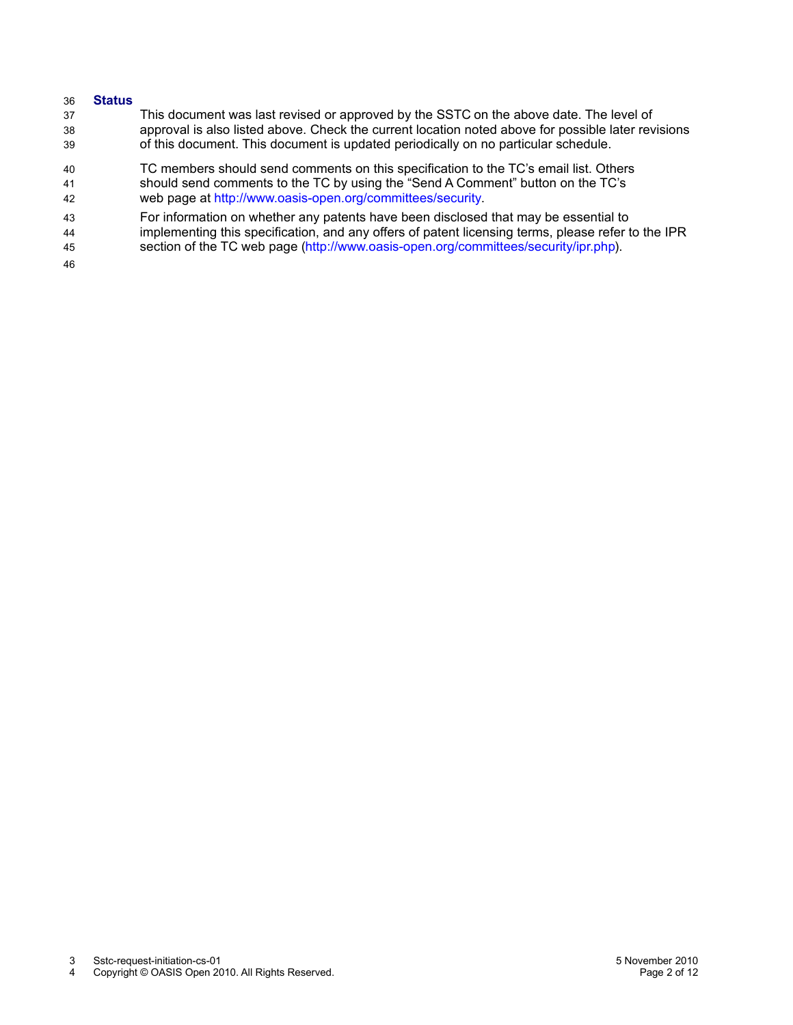#### **Status** 36

- This document was last revised or approved by the SSTC on the above date. The level of approval is also listed above. Check the current location noted above for possible later revisions of this document. This document is updated periodically on no particular schedule. 37 38 39
- TC members should send comments on this specification to the TC's email list. Others should send comments to the TC by using the "Send A Comment" button on the TC's web page at [http://www.oasis-open.org/committees/security.](http://www.oasis-open.org/committees/security) 40 41 42
- For information on whether any patents have been disclosed that may be essential to implementing this specification, and any offers of patent licensing terms, please refer to the IPR 43 44
- section of the TC web page [\(http://www.oasis-open.org/committees/security/ipr.php\)](http://www.oasis-open.org/committees/security/ipr.php). 45
- 46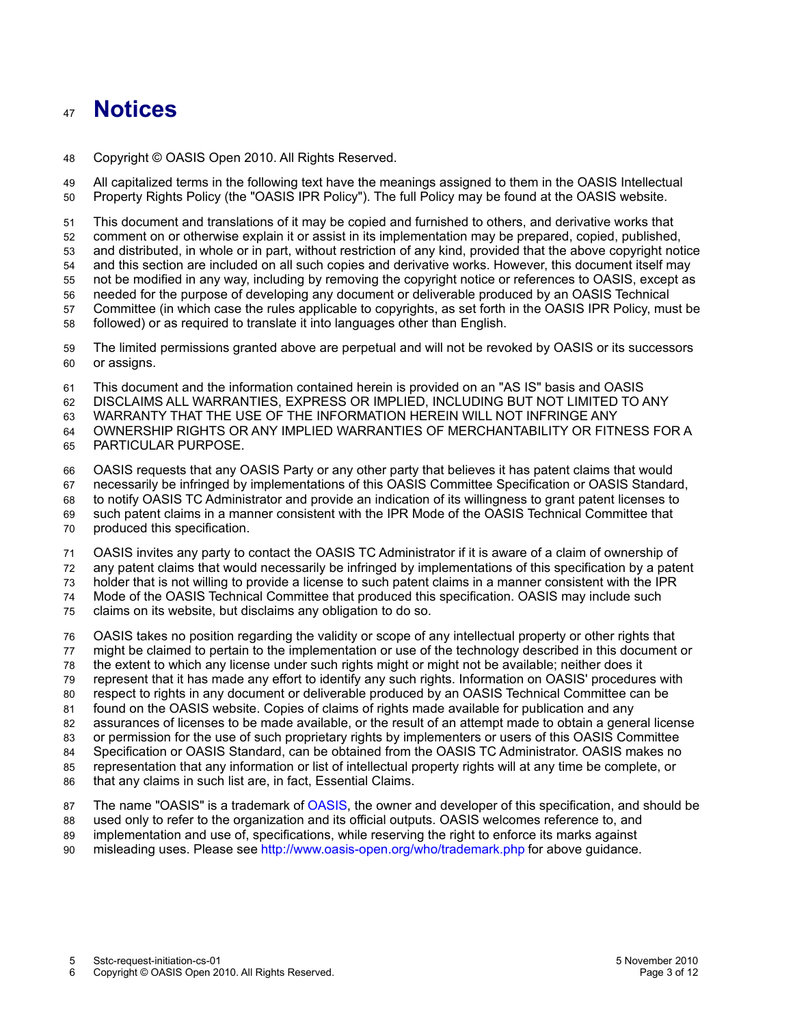### **Notices** 47

Copyright © OASIS Open 2010. All Rights Reserved. 48

All capitalized terms in the following text have the meanings assigned to them in the OASIS Intellectual Property Rights Policy (the "OASIS IPR Policy"). The full Policy may be found at the OASIS website. 49 50

This document and translations of it may be copied and furnished to others, and derivative works that comment on or otherwise explain it or assist in its implementation may be prepared, copied, published, and distributed, in whole or in part, without restriction of any kind, provided that the above copyright notice and this section are included on all such copies and derivative works. However, this document itself may not be modified in any way, including by removing the copyright notice or references to OASIS, except as needed for the purpose of developing any document or deliverable produced by an OASIS Technical 51 52 53 54 55 56

Committee (in which case the rules applicable to copyrights, as set forth in the OASIS IPR Policy, must be followed) or as required to translate it into languages other than English. 57 58

The limited permissions granted above are perpetual and will not be revoked by OASIS or its successors or assigns. 59 60

This document and the information contained herein is provided on an "AS IS" basis and OASIS 61

DISCLAIMS ALL WARRANTIES, EXPRESS OR IMPLIED, INCLUDING BUT NOT LIMITED TO ANY 62

WARRANTY THAT THE USE OF THE INFORMATION HEREIN WILL NOT INFRINGE ANY 63

OWNERSHIP RIGHTS OR ANY IMPLIED WARRANTIES OF MERCHANTABILITY OR FITNESS FOR A 64

PARTICULAR PURPOSE. 65

OASIS requests that any OASIS Party or any other party that believes it has patent claims that would 66

necessarily be infringed by implementations of this OASIS Committee Specification or OASIS Standard, 67

to notify OASIS TC Administrator and provide an indication of its willingness to grant patent licenses to 68

such patent claims in a manner consistent with the IPR Mode of the OASIS Technical Committee that 69

produced this specification. 70

OASIS invites any party to contact the OASIS TC Administrator if it is aware of a claim of ownership of 71

any patent claims that would necessarily be infringed by implementations of this specification by a patent 72

holder that is not willing to provide a license to such patent claims in a manner consistent with the IPR 73

Mode of the OASIS Technical Committee that produced this specification. OASIS may include such 74

claims on its website, but disclaims any obligation to do so. 75

OASIS takes no position regarding the validity or scope of any intellectual property or other rights that 76

might be claimed to pertain to the implementation or use of the technology described in this document or 77

the extent to which any license under such rights might or might not be available; neither does it 78

represent that it has made any effort to identify any such rights. Information on OASIS' procedures with 79

respect to rights in any document or deliverable produced by an OASIS Technical Committee can be 80

found on the OASIS website. Copies of claims of rights made available for publication and any 81

assurances of licenses to be made available, or the result of an attempt made to obtain a general license 82

or permission for the use of such proprietary rights by implementers or users of this OASIS Committee 83

Specification or OASIS Standard, can be obtained from the OASIS TC Administrator. OASIS makes no 84

representation that any information or list of intellectual property rights will at any time be complete, or that any claims in such list are, in fact, Essential Claims. 85 86

The name "OASIS" is a trademark of [OASIS,](http://www.oasis-open.org/) the owner and developer of this specification, and should be 87

used only to refer to the organization and its official outputs. OASIS welcomes reference to, and 88

implementation and use of, specifications, while reserving the right to enforce its marks against misleading uses. Please see<http://www.oasis-open.org/who/trademark.php>for above guidance. 89 90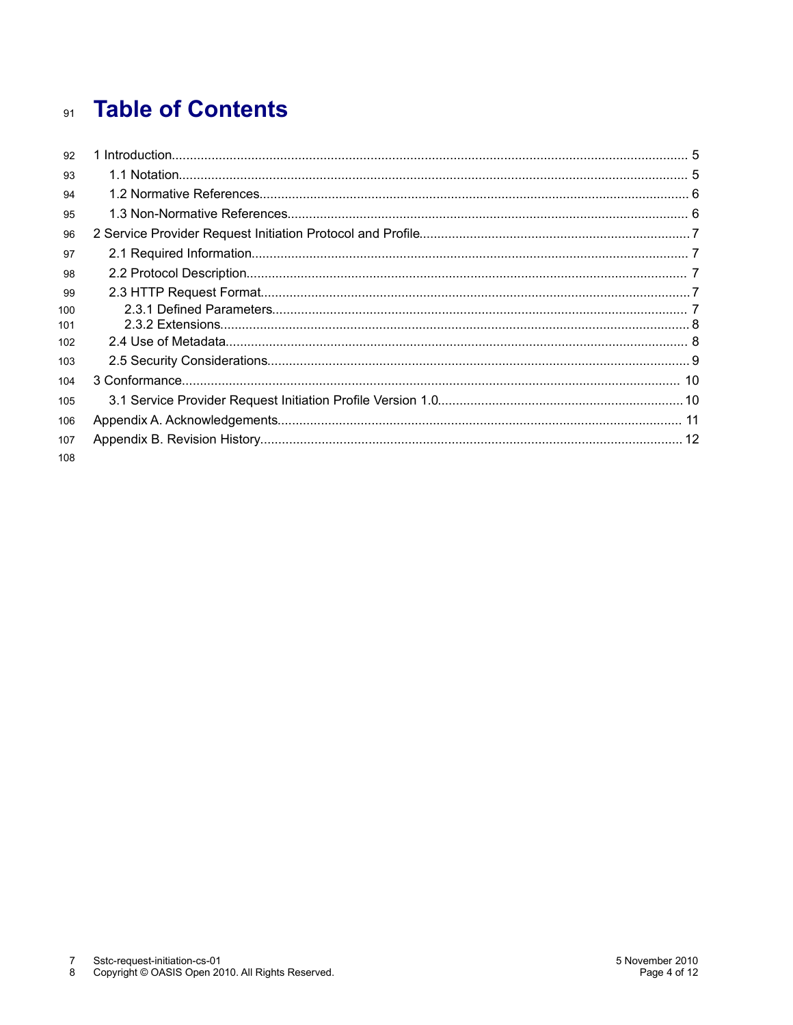# 91 Table of Contents

| 92         |  |
|------------|--|
| 93         |  |
| 94         |  |
| 95         |  |
| 96         |  |
| 97         |  |
| 98         |  |
| 99         |  |
| 100<br>101 |  |
| 102        |  |
| 103        |  |
| 104        |  |
| 105        |  |
| 106        |  |
| 107        |  |
| 108        |  |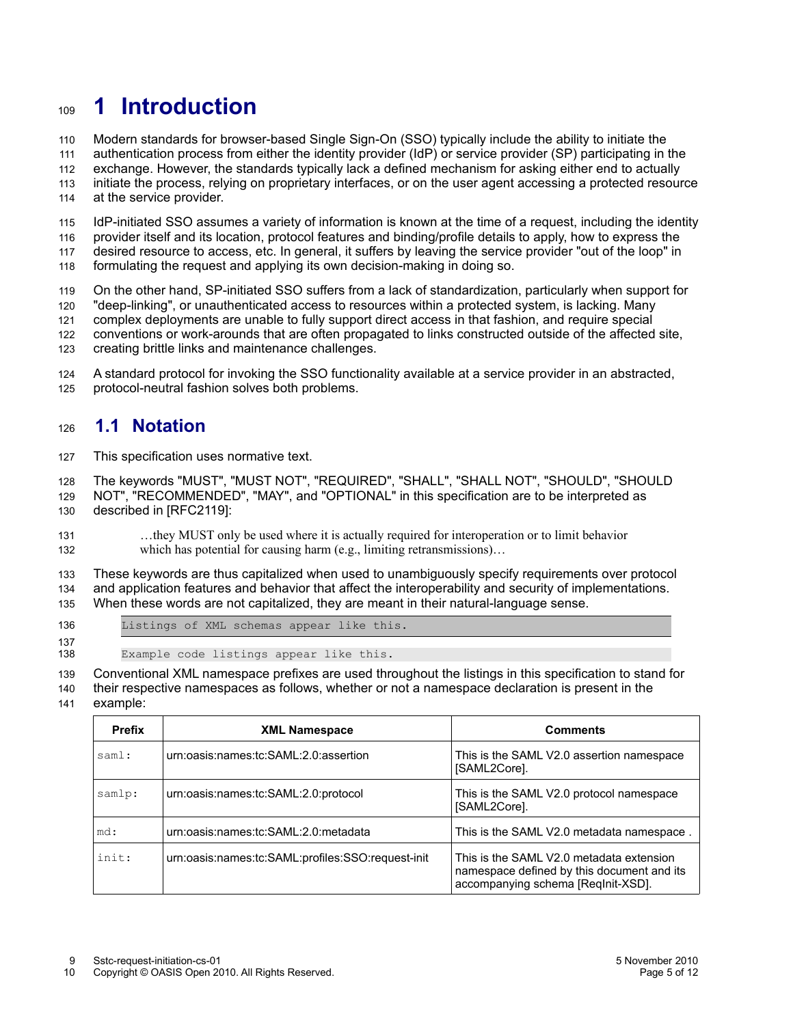## **1 Introduction** 109

Modern standards for browser-based Single Sign-On (SSO) typically include the ability to initiate the 110

authentication process from either the identity provider (IdP) or service provider (SP) participating in the 111

exchange. However, the standards typically lack a defined mechanism for asking either end to actually initiate the process, relying on proprietary interfaces, or on the user agent accessing a protected resource 112 113

at the service provider. 114

IdP-initiated SSO assumes a variety of information is known at the time of a request, including the identity provider itself and its location, protocol features and binding/profile details to apply, how to express the desired resource to access, etc. In general, it suffers by leaving the service provider "out of the loop" in 115 116 117

formulating the request and applying its own decision-making in doing so. 118

On the other hand, SP-initiated SSO suffers from a lack of standardization, particularly when support for "deep-linking", or unauthenticated access to resources within a protected system, is lacking. Many 119 120

complex deployments are unable to fully support direct access in that fashion, and require special 121

- conventions or work-arounds that are often propagated to links constructed outside of the affected site, 122
- creating brittle links and maintenance challenges. 123

A standard protocol for invoking the SSO functionality available at a service provider in an abstracted, protocol-neutral fashion solves both problems. 124 125

#### **1.1 Notation** 126

This specification uses normative text. 127

The keywords "MUST", "MUST NOT", "REQUIRED", "SHALL", "SHALL NOT", "SHOULD", "SHOULD NOT", "RECOMMENDED", "MAY", and "OPTIONAL" in this specification are to be interpreted as described in [\[RFC2119\]:](#page-5-3) 128 129 130

…they MUST only be used where it is actually required for interoperation or to limit behavior which has potential for causing harm (e.g., limiting retransmissions)... 131 132

These keywords are thus capitalized when used to unambiguously specify requirements over protocol and application features and behavior that affect the interoperability and security of implementations. When these words are not capitalized, they are meant in their natural-language sense. 133 134 135

136 137

Listings of XML schemas appear like this.

Example code listings appear like this. 138

Conventional XML namespace prefixes are used throughout the listings in this specification to stand for 139

their respective namespaces as follows, whether or not a namespace declaration is present in the 140

example: 141

<span id="page-4-2"></span><span id="page-4-1"></span><span id="page-4-0"></span>

| <b>Prefix</b> | <b>XML Namespace</b>                              | <b>Comments</b>                                                                                                              |
|---------------|---------------------------------------------------|------------------------------------------------------------------------------------------------------------------------------|
| saml:         | urn:oasis:names:tc:SAML:2.0:assertion             | This is the SAML V2.0 assertion namespace<br>[SAML2Core].                                                                    |
| samlp:        | urn:oasis:names:tc:SAML:2.0:protocol              | This is the SAML V2.0 protocol namespace<br>[SAML2Core].                                                                     |
| md:           | urn:oasis:names:tc:SAML:2.0:metadata              | This is the SAML V2.0 metadata namespace.                                                                                    |
| init:         | urn:oasis:names:tc:SAML:profiles:SSO:request-init | This is the SAML V2.0 metadata extension<br>namespace defined by this document and its<br>accompanying schema [ReqInit-XSD]. |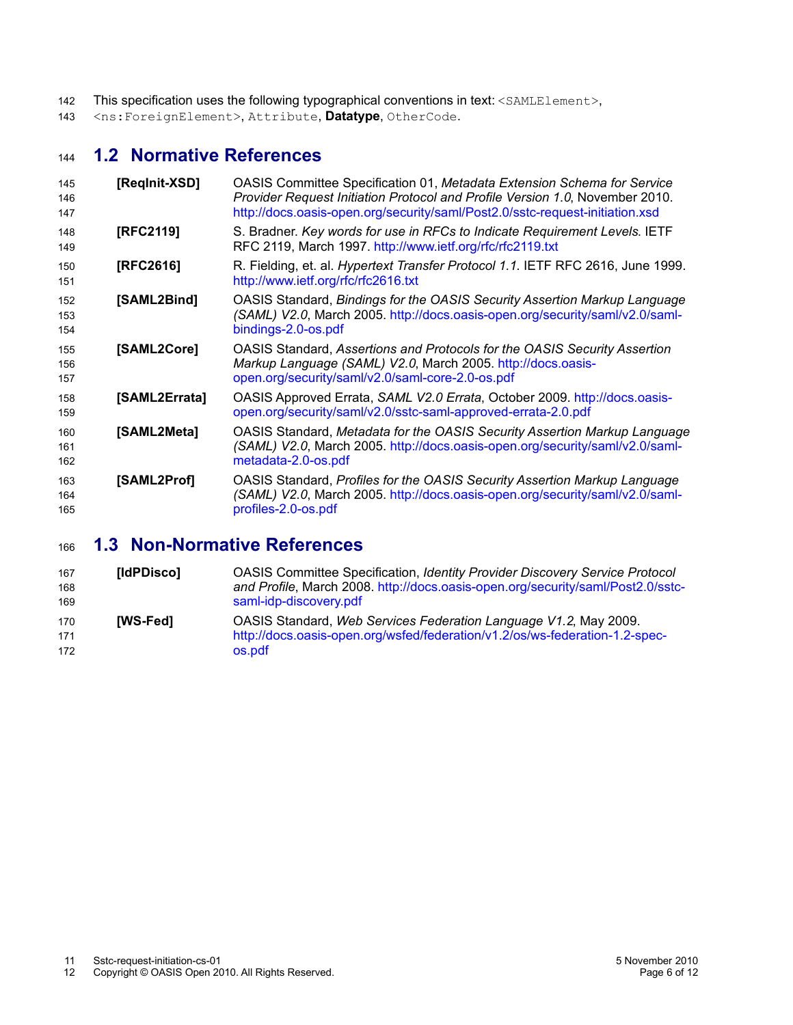- This specification uses the following typographical conventions in text: <SAMLElement>, 142
- <ns:ForeignElement>, Attribute, **Datatype**, OtherCode. 143

#### **1.2 Normative References** 144

<span id="page-5-4"></span><span id="page-5-3"></span><span id="page-5-2"></span>

| 145<br>146<br>147 | [Reginit-XSD] | OASIS Committee Specification 01, Metadata Extension Schema for Service<br>Provider Request Initiation Protocol and Profile Version 1.0, November 2010.<br>http://docs.oasis-open.org/security/saml/Post2.0/sstc-request-initiation.xsd |
|-------------------|---------------|-----------------------------------------------------------------------------------------------------------------------------------------------------------------------------------------------------------------------------------------|
| 148<br>149        | [RFC2119]     | S. Bradner. Key words for use in RFCs to Indicate Requirement Levels. IETF<br>RFC 2119, March 1997. http://www.ietf.org/rfc/rfc2119.txt                                                                                                 |
| 150<br>151        | [RFC2616]     | R. Fielding, et. al. Hypertext Transfer Protocol 1.1. IETF RFC 2616, June 1999.<br>http://www.ietf.org/rfc/rfc2616.txt                                                                                                                  |
| 152<br>153<br>154 | [SAML2Bind]   | OASIS Standard, Bindings for the OASIS Security Assertion Markup Language<br>(SAML) V2.0, March 2005. http://docs.oasis-open.org/security/saml/v2.0/saml-<br>bindings-2.0-os.pdf                                                        |
| 155<br>156<br>157 | [SAML2Core]   | OASIS Standard, Assertions and Protocols for the OASIS Security Assertion<br>Markup Language (SAML) V2.0, March 2005. http://docs.oasis-<br>open.org/security/saml/v2.0/saml-core-2.0-os.pdf                                            |
| 158<br>159        | [SAML2Errata] | OASIS Approved Errata, SAML V2.0 Errata, October 2009. http://docs.oasis-<br>open.org/security/saml/v2.0/sstc-saml-approved-errata-2.0.pdf                                                                                              |
| 160<br>161<br>162 | [SAML2Meta]   | OASIS Standard, Metadata for the OASIS Security Assertion Markup Language<br>(SAML) V2.0, March 2005. http://docs.oasis-open.org/security/saml/v2.0/saml-<br>metadata-2.0-os.pdf                                                        |
| 163<br>164<br>165 | [SAML2Prof]   | OASIS Standard, Profiles for the OASIS Security Assertion Markup Language<br>(SAML) V2.0, March 2005. http://docs.oasis-open.org/security/saml/v2.0/saml-<br>profiles-2.0-os.pdf                                                        |
|                   |               |                                                                                                                                                                                                                                         |

#### **1.3 Non-Normative References** 166

<span id="page-5-1"></span><span id="page-5-0"></span>

| 167<br>168<br>169 | [IdPDisco]      | <b>OASIS Committee Specification, Identity Provider Discovery Service Protocol</b><br>and Profile, March 2008. http://docs.oasis-open.org/security/saml/Post2.0/sstc-<br>saml-idp-discovery.pdf |
|-------------------|-----------------|-------------------------------------------------------------------------------------------------------------------------------------------------------------------------------------------------|
| 170<br>171        | <b>IWS-Fed1</b> | OASIS Standard, Web Services Federation Language V1.2, May 2009.<br>http://docs.oasis-open.org/wsfed/federation/v1.2/os/ws-federation-1.2-spec-                                                 |
| 172               |                 | os.pdf                                                                                                                                                                                          |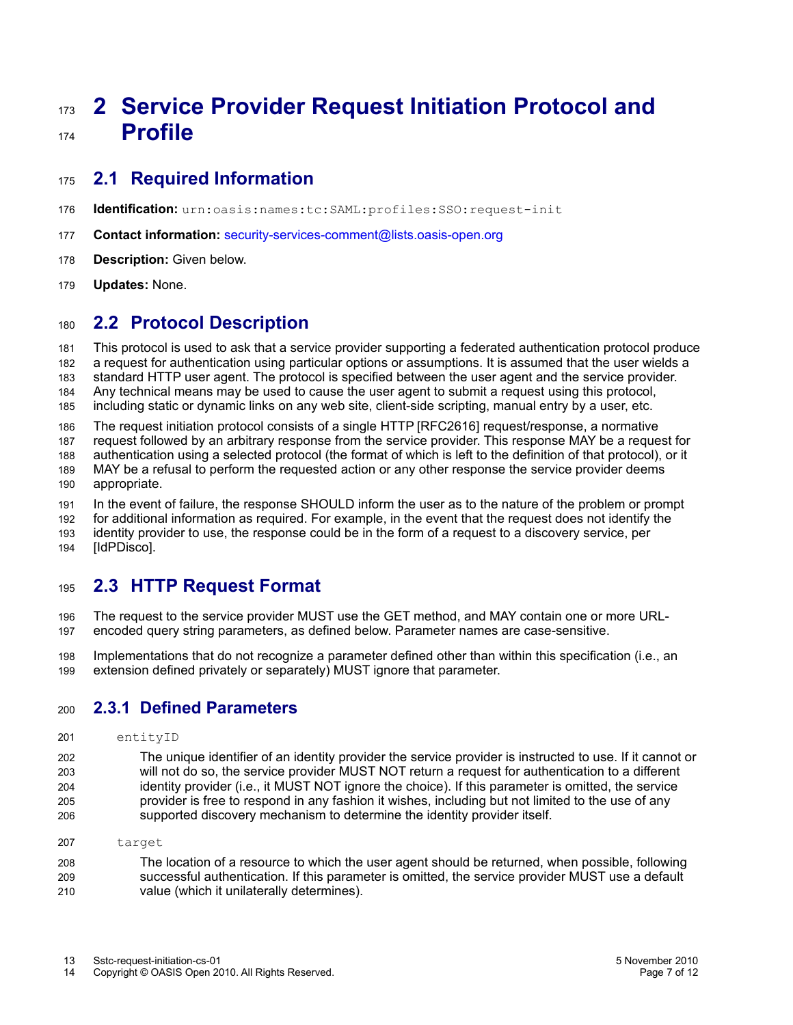# <span id="page-6-1"></span>**2 Service Provider Request Initiation Protocol and Profile** 173 174

#### **2.1 Required Information** 175

- **Identification:** urn:oasis:names:tc:SAML:profiles:SSO:request-init 176
- **Contact information:** [security-services-comment@lists.oasis-open.org](mailto:security-services-comment@lists.oasis-open.org) 177
- **[Description:](mailto:security-services-comment@lists.oasis-open.org)** [Given below.](mailto:security-services-comment@lists.oasis-open.org) 178
- **[Updates:](mailto:security-services-comment@lists.oasis-open.org)** [No](mailto:security-services-comment@lists.oasis-open.org)ne. 179

#### **2.2 Protocol Description** 180

This protocol is used to ask that a service provider supporting a federated authentication protocol produce a request for authentication using particular options or assumptions. It is assumed that the user wields a standard HTTP user agent. The protocol is specified between the user agent and the service provider. Any technical means may be used to cause the user agent to submit a request using this protocol, including static or dynamic links on any web site, client-side scripting, manual entry by a user, etc. 181 182 183 184 185

The request initiation protocol consists of a single HTTP [\[RFC2616\]](#page-5-4) request/response, a normative 186

request followed by an arbitrary response from the service provider. This response MAY be a request for authentication using a selected protocol (the format of which is left to the definition of that protocol), or it 187 188

MAY be a refusal to perform the requested action or any other response the service provider deems 189

appropriate. 190

In the event of failure, the response SHOULD inform the user as to the nature of the problem or prompt for additional information as required. For example, in the event that the request does not identify the identity provider to use, the response could be in the form of a request to a discovery service, per 191 192

[\[IdPDisco\].](#page-5-0) 193 194

#### **2.3 HTTP Request Format** 195

The request to the service provider MUST use the GET method, and MAY contain one or more URLencoded query string parameters, as defined below. Parameter names are case-sensitive. 196 197

Implementations that do not recognize a parameter defined other than within this specification (i.e., an extension defined privately or separately) MUST ignore that parameter. 198 199

#### <span id="page-6-0"></span>**2.3.1 Defined Parameters** 200

- entityID 201
- The unique identifier of an identity provider the service provider is instructed to use. If it cannot or will not do so, the service provider MUST NOT return a request for authentication to a different identity provider (i.e., it MUST NOT ignore the choice). If this parameter is omitted, the service provider is free to respond in any fashion it wishes, including but not limited to the use of any supported discovery mechanism to determine the identity provider itself. 202 203 204 205 206
- target 207

The location of a resource to which the user agent should be returned, when possible, following successful authentication. If this parameter is omitted, the service provider MUST use a default value (which it unilaterally determines). 208 209 210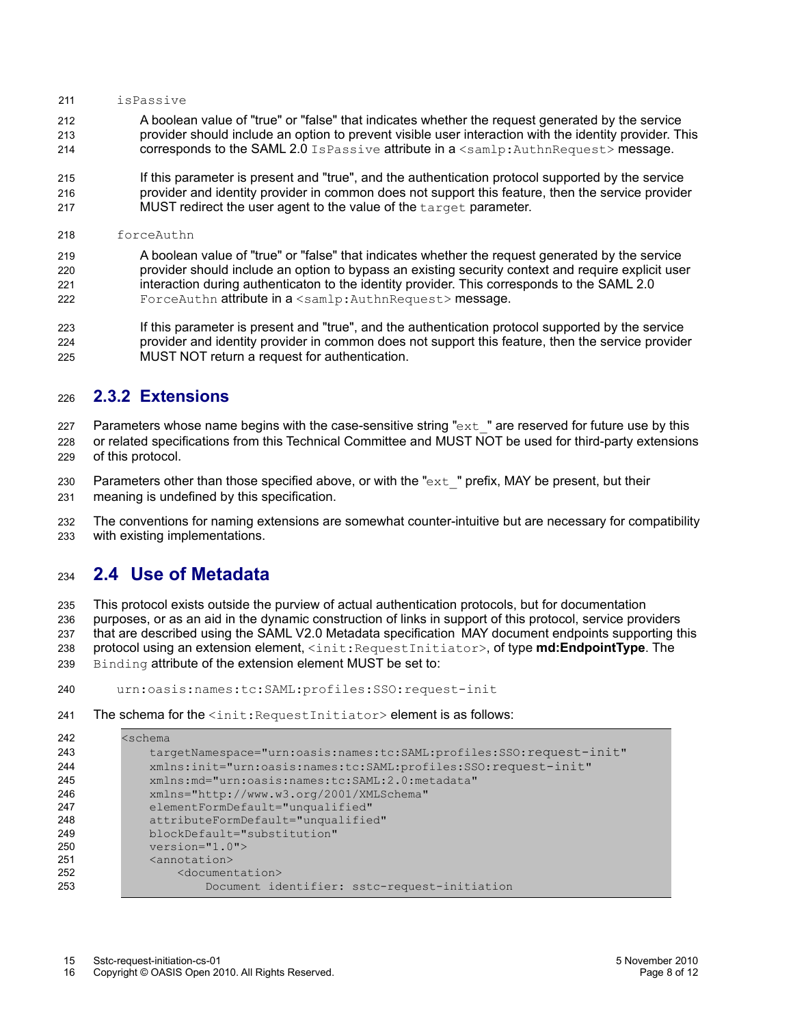#### isPassive 211

- A boolean value of "true" or "false" that indicates whether the request generated by the service provider should include an option to prevent visible user interaction with the identity provider. This corresponds to the SAML 2.0 IsPassive attribute in a <samlp:AuthnRequest> message. 212 213  $214$
- If this parameter is present and "true", and the authentication protocol supported by the service provider and identity provider in common does not support this feature, then the service provider MUST redirect the user agent to the value of the target parameter. 215 216 217
- forceAuthn 218

A boolean value of "true" or "false" that indicates whether the request generated by the service provider should include an option to bypass an existing security context and require explicit user interaction during authenticaton to the identity provider. This corresponds to the SAML 2.0 ForceAuthn attribute in a <samlp:AuthnRequest> message. 219 220 221 222

If this parameter is present and "true", and the authentication protocol supported by the service provider and identity provider in common does not support this feature, then the service provider MUST NOT return a request for authentication. 223 224 225

#### **2.3.2 Extensions** 226

Parameters whose name begins with the case-sensitive string " $ext{ext}$ " are reserved for future use by this 227

- or related specifications from this Technical Committee and MUST NOT be used for third-party extensions of this protocol. 228 229
- Parameters other than those specified above, or with the " $ext$ " prefix, MAY be present, but their meaning is undefined by this specification. 230 231

The conventions for naming extensions are somewhat counter-intuitive but are necessary for compatibility with existing implementations. 232 233

#### **2.4 Use of Metadata** 234

<span id="page-7-0"></span>This protocol exists outside the purview of actual authentication protocols, but for documentation purposes, or as an aid in the dynamic construction of links in support of this protocol, service providers that are described using the SAML V2.0 Metadata specificationMAY document endpoints supporting this protocol using an extension element, <init:RequestInitiator>, of type **md:EndpointType**. The Binding attribute of the extension element MUST be set to: 235 236 237 238 239

- urn:oasis:names:tc:SAML:profiles:SSO:request-init 240
- The schema for the  $\langle$ init:RequestInitiator> element is as follows: 241

| 242 | <schema< th=""></schema<>                                           |
|-----|---------------------------------------------------------------------|
| 243 | targetNamespace="urn:oasis:names:tc:SAML:profiles:SSO:request-init" |
| 244 | xmlns:init="urn:oasis:names:tc:SAML:profiles:SSO:request-init"      |
| 245 | xmlns: md="urn: oasis: names: tc: SAML: 2.0: metadata"              |
| 246 | xmlns="http://www.w3.org/2001/XMLSchema"                            |
| 247 | elementFormDefault="unqualified"                                    |
| 248 | attributeFormDefault="unqualified"                                  |
| 249 | blockDefault="substitution"                                         |
| 250 | $version="1.0"$                                                     |
| 251 | <annotation></annotation>                                           |
| 252 | <documentation></documentation>                                     |
| 253 | Document identifier: sstc-request-initiation                        |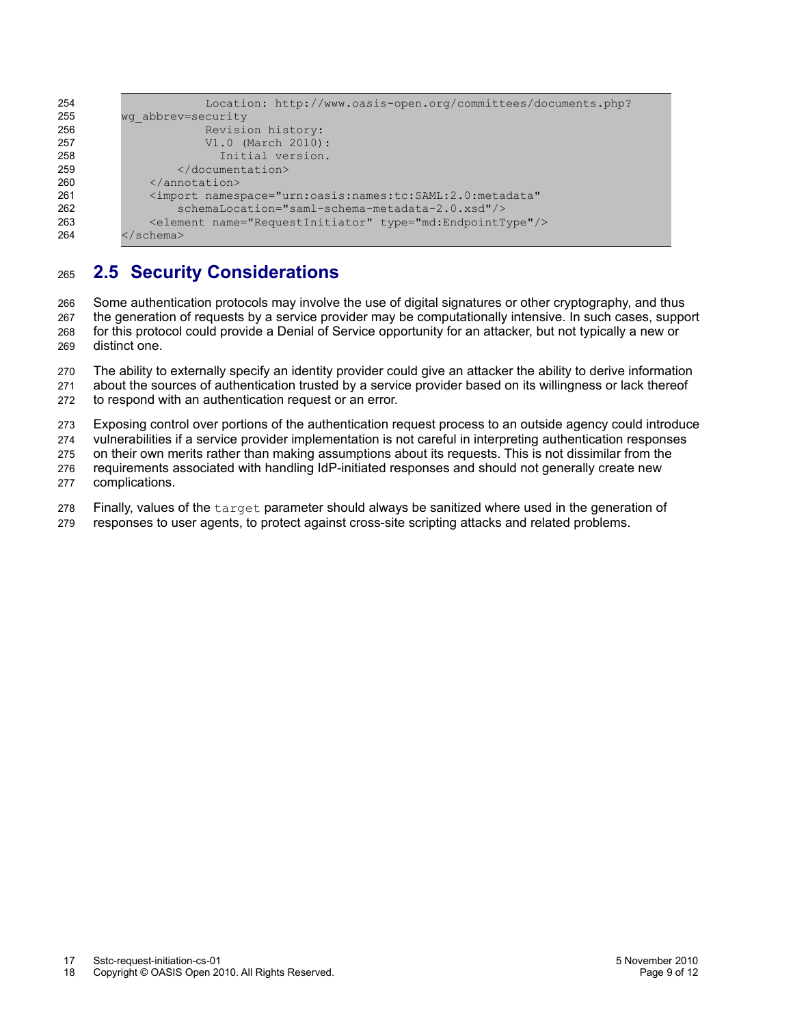```
 Location: http://www.oasis-open.org/committees/documents.php?
          wg_abbrev=security
                       Revision history:
                       V1.0 (March 2010):
                          Initial version.
                   </documentation>
               </annotation>
               <import namespace="urn:oasis:names:tc:SAML:2.0:metadata"
                   schemaLocation="saml-schema-metadata-2.0.xsd"/>
               <element name="RequestInitiator" type="md:EndpointType"/>
          </schema>
254
255
256
257
258
259
260
261
262
263
264
```
#### **2.5 Security Considerations** 265

Some authentication protocols may involve the use of digital signatures or other cryptography, and thus the generation of requests by a service provider may be computationally intensive. In such cases, support for this protocol could provide a Denial of Service opportunity for an attacker, but not typically a new or distinct one. 266 267 268 269

The ability to externally specify an identity provider could give an attacker the ability to derive information about the sources of authentication trusted by a service provider based on its willingness or lack thereof to respond with an authentication request or an error. 270 271 272

Exposing control over portions of the authentication request process to an outside agency could introduce 273

vulnerabilities if a service provider implementation is not careful in interpreting authentication responses 274

on their own merits rather than making assumptions about its requests. This is not dissimilar from the 275

- requirements associated with handling IdP-initiated responses and should not generally create new complications. 276 277
- 

Finally, values of the target parameter should always be sanitized where used in the generation of 278

responses to user agents, to protect against cross-site scripting attacks and related problems. 279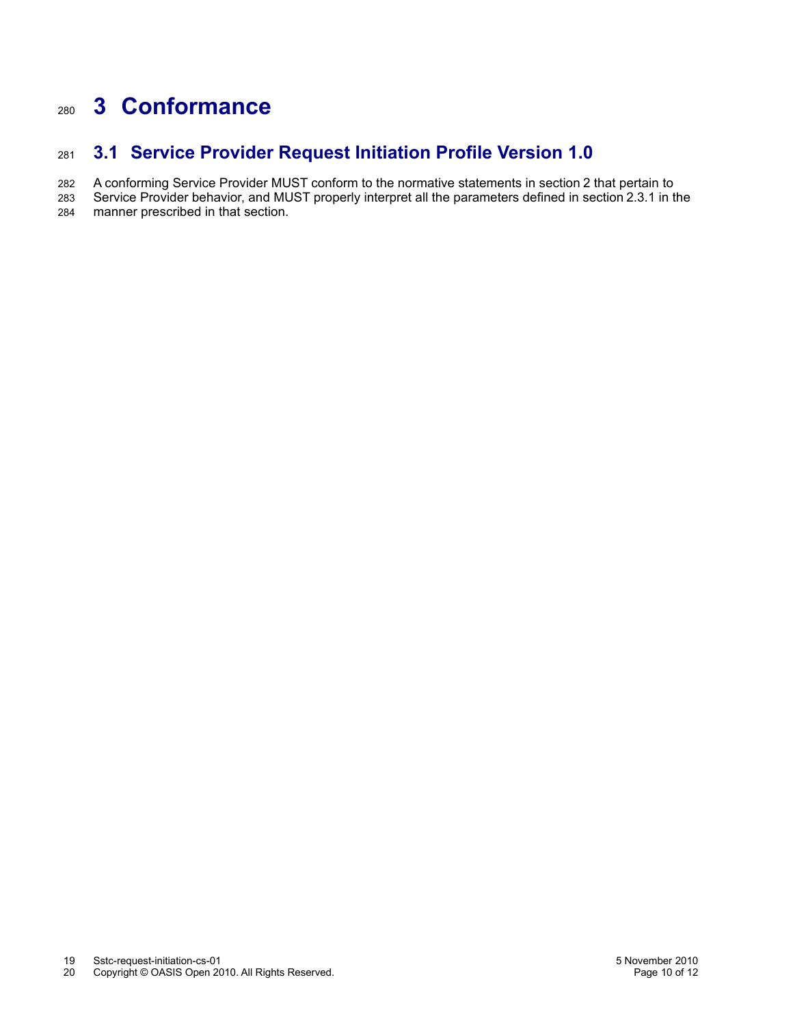# **3 Conformance** 280

#### **3.1 Service Provider Request Initiation Profile Version 1.0** 281

A conforming Service Provider MUST conform to the normative statements in section [2](#page-6-1) that pertain to 282

Service Provider behavior, and MUST properly interpret all the parameters defined in section [2.3.1](#page-6-0) in the manner prescribed in that section. 283 284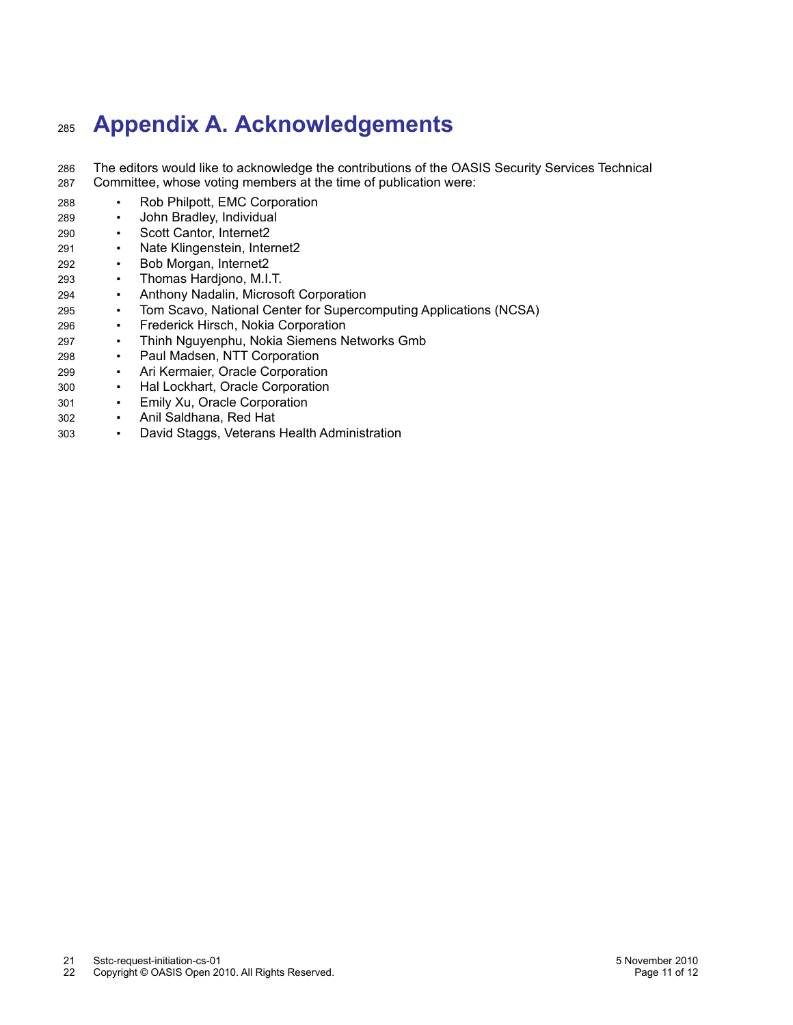# **Appendix A. Acknowledgements** 285

- The editors would like to acknowledge the contributions of the OASIS Security Services Technical Committee, whose voting members at the time of publication were: 286 287
- Rob Philpott, EMC Corporation 288
- John Bradley, Individual 289
- Scott Cantor, Internet2 290
- Nate Klingenstein, Internet2 291
- Bob Morgan, Internet2 292
- Thomas Hardjono, M.I.T. 293
- Anthony Nadalin, Microsoft Corporation 294
- Tom Scavo, National Center for Supercomputing Applications (NCSA) 295
- Frederick Hirsch, Nokia Corporation 296
- Thinh Nguyenphu, Nokia Siemens Networks Gmb 297
- Paul Madsen, NTT Corporation 298
- Ari Kermaier, Oracle Corporation 299
- Hal Lockhart, Oracle Corporation 300
- Emily Xu, Oracle Corporation 301
- Anil Saldhana, Red Hat 302
- David Staggs, Veterans Health Administration 303